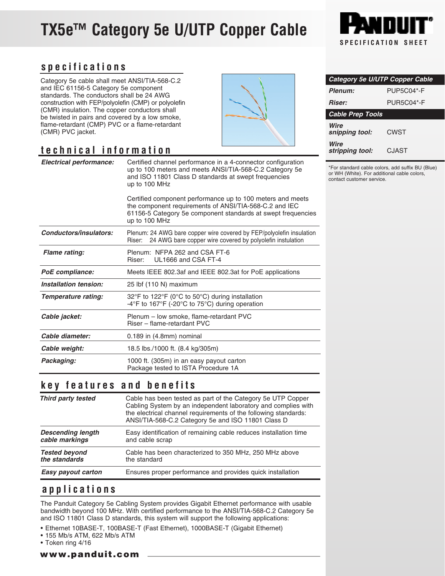# **TX5e™ Category 5e U/UTP Copper Cable**



### **specifications**

Category 5e cable shall meet ANSI/TIA-568-C.2 and IEC 61156-5 Category 5e component standards. The conductors shall be 24 AWG construction with FEP/polyolefin (CMP) or polyolefin (CMR) insulation. The copper conductors shall be twisted in pairs and covered by a low smoke, flame-retardant (CMP) PVC or a flame-retardant (CMR) PVC jacket.

## **technical information**

| <b>Electrical performance:</b> | Certified channel performance in a 4-connector configuration<br>up to 100 meters and meets ANSI/TIA-568-C.2 Category 5e<br>and ISO 11801 Class D standards at swept frequencies<br>up to 100 MHz      |  |
|--------------------------------|-------------------------------------------------------------------------------------------------------------------------------------------------------------------------------------------------------|--|
|                                | Certified component performance up to 100 meters and meets<br>the component requirements of ANSI/TIA-568-C.2 and IEC<br>61156-5 Category 5e component standards at swept frequencies<br>up to 100 MHz |  |
| Conductors/insulators:         | Plenum: 24 AWG bare copper wire covered by FEP/polyolefin insulation<br>24 AWG bare copper wire covered by polyolefin instulation<br>Riser:                                                           |  |
| <b>Flame rating:</b>           | Plenum: NFPA 262 and CSA FT-6<br>UL1666 and CSA FT-4<br>Riser:                                                                                                                                        |  |
| PoE compliance:                | Meets IEEE 802.3af and IEEE 802.3at for PoE applications                                                                                                                                              |  |
| Installation tension:          | 25 lbf (110 N) maximum                                                                                                                                                                                |  |
| Temperature rating:            | 32°F to 122°F (0°C to 50°C) during installation<br>-4°F to 167°F (-20°C to 75°C) during operation                                                                                                     |  |
| Cable jacket:                  | Plenum - low smoke, flame-retardant PVC<br>Riser - flame-retardant PVC                                                                                                                                |  |
| Cable diameter:                | $0.189$ in $(4.8$ mm $)$ nominal                                                                                                                                                                      |  |
| Cable weight:                  | 18.5 lbs./1000 ft. (8.4 kg/305m)                                                                                                                                                                      |  |
| Packaging:                     | 1000 ft. (305m) in an easy payout carton<br>Package tested to ISTA Procedure 1A                                                                                                                       |  |

#### **key features and benefits**

| Third party tested       | Cable has been tested as part of the Category 5e UTP Copper<br>Cabling System by an independent laboratory and complies with<br>the electrical channel requirements of the following standards:<br>ANSI/TIA-568-C.2 Category 5e and ISO 11801 Class D |
|--------------------------|-------------------------------------------------------------------------------------------------------------------------------------------------------------------------------------------------------------------------------------------------------|
| <b>Descending length</b> | Easy identification of remaining cable reduces installation time                                                                                                                                                                                      |
| cable markings           | and cable scrap                                                                                                                                                                                                                                       |
| <b>Tested beyond</b>     | Cable has been characterized to 350 MHz, 250 MHz above                                                                                                                                                                                                |
| the standards            | the standard                                                                                                                                                                                                                                          |
| Easy payout carton       | Ensures proper performance and provides quick installation                                                                                                                                                                                            |

#### **applications**

The Panduit Category 5e Cabling System provides Gigabit Ethernet performance with usable bandwidth beyond 100 MHz. With certified performance to the ANSI/TIA-568-C.2 Category 5e and ISO 11801 Class D standards, this system will support the following applications:

- Ethernet 10BASE-T, 100BASE-T (Fast Ethernet), 1000BASE-T (Gigabit Ethernet)
- 155 Mb/s ATM, 622 Mb/s ATM
- Token ring 4/16

www.panduit.com

| <b>Category 5e U/UTP Copper Cable</b> |                   |  |
|---------------------------------------|-------------------|--|
| Plenum:                               | <b>PUP5C04*-F</b> |  |
| <i><b>Riser:</b></i>                  | <b>PUR5C04*-F</b> |  |
| <b>Cable Prep Tools</b>               |                   |  |
| Wire<br>snipping tool:                | CWST              |  |
| Wire<br>stripping tool:               | CJAST             |  |

\*For standard cable colors, add suffix BU (Blue) or WH (White). For additional cable colors, contact customer service.